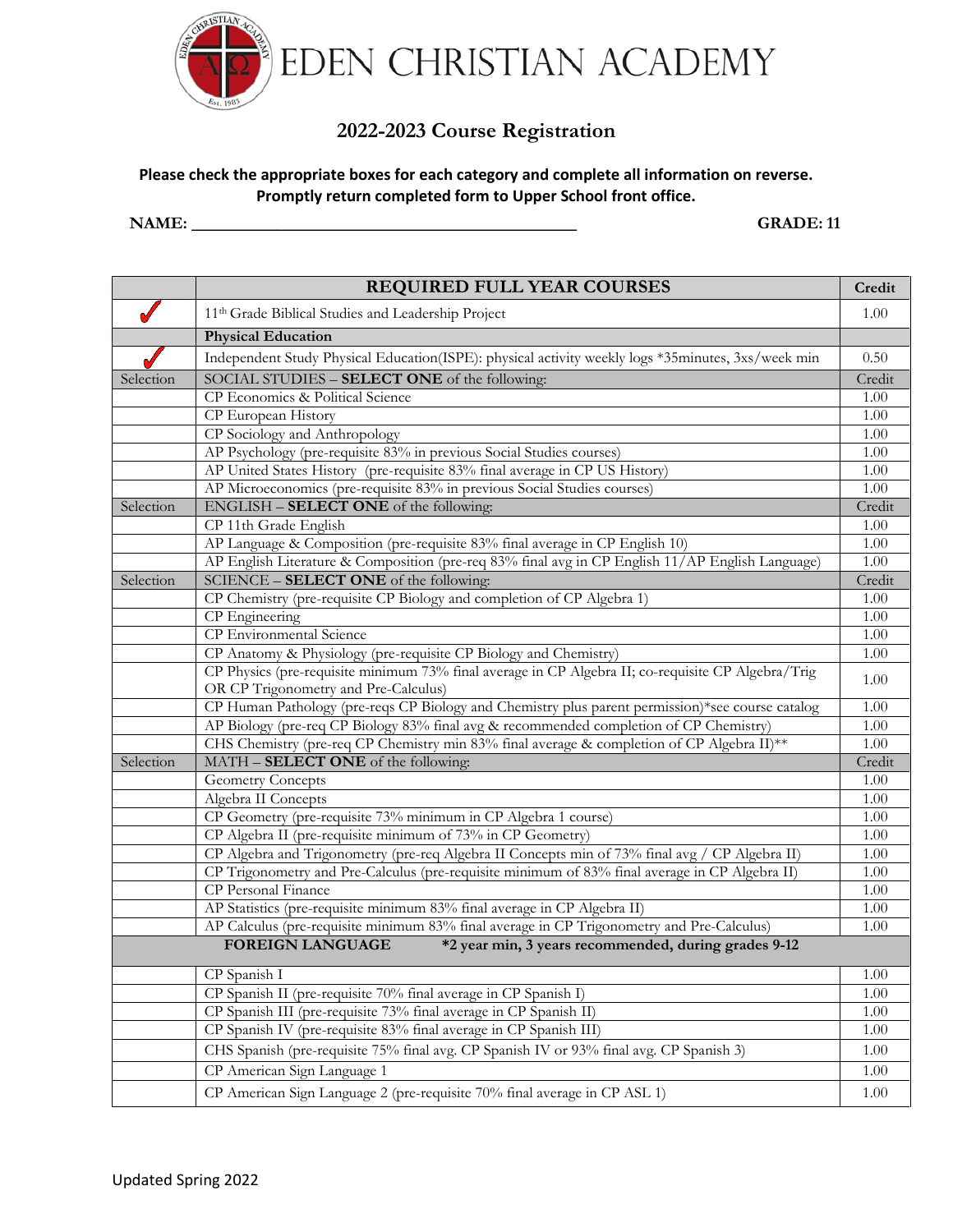

# **2022-2023 Course Registration**

### **Please check the appropriate boxes for each category and complete all information on reverse. Promptly return completed form to Upper School front office.**

#### **NAME: \_\_\_\_\_\_\_\_\_\_\_\_\_\_\_\_\_\_\_\_\_\_\_\_\_\_\_\_\_\_\_\_\_\_\_\_\_\_\_\_\_\_\_\_\_ GRADE: 11**

|           | <b>REQUIRED FULL YEAR COURSES</b>                                                                  | Credit |
|-----------|----------------------------------------------------------------------------------------------------|--------|
|           | 11 <sup>th</sup> Grade Biblical Studies and Leadership Project                                     | 1.00   |
|           | <b>Physical Education</b>                                                                          |        |
|           | Independent Study Physical Education(ISPE): physical activity weekly logs *35minutes, 3xs/week min | 0.50   |
| Selection | SOCIAL STUDIES - SELECT ONE of the following:                                                      | Credit |
|           | CP Economics & Political Science                                                                   | 1.00   |
|           | CP European History                                                                                | 1.00   |
|           | CP Sociology and Anthropology                                                                      | 1.00   |
|           | AP Psychology (pre-requisite 83% in previous Social Studies courses)                               | 1.00   |
|           | AP United States History (pre-requisite 83% final average in CP US History)                        | 1.00   |
|           | AP Microeconomics (pre-requisite 83% in previous Social Studies courses)                           | 1.00   |
| Selection | ENGLISH - SELECT ONE of the following:                                                             | Credit |
|           | CP 11th Grade English                                                                              | 1.00   |
|           | AP Language & Composition (pre-requisite 83% final average in CP English 10)                       | 1.00   |
|           | AP English Literature & Composition (pre-req 83% final avg in CP English 11/AP English Language)   | 1.00   |
| Selection | SCIENCE - SELECT ONE of the following:                                                             | Credit |
|           | CP Chemistry (pre-requisite CP Biology and completion of CP Algebra 1)                             | 1.00   |
|           | CP Engineering                                                                                     | 1.00   |
|           | CP Environmental Science                                                                           | 1.00   |
|           | CP Anatomy & Physiology (pre-requisite CP Biology and Chemistry)                                   | 1.00   |
|           | CP Physics (pre-requisite minimum 73% final average in CP Algebra II; co-requisite CP Algebra/Trig |        |
|           | OR CP Trigonometry and Pre-Calculus)                                                               | 1.00   |
|           | CP Human Pathology (pre-reqs CP Biology and Chemistry plus parent permission)*see course catalog   | 1.00   |
|           | AP Biology (pre-req CP Biology 83% final avg & recommended completion of CP Chemistry)             | 1.00   |
|           | CHS Chemistry (pre-req CP Chemistry min 83% final average & completion of CP Algebra II)**         | 1.00   |
| Selection | MATH - SELECT ONE of the following:                                                                | Credit |
|           | <b>Geometry Concepts</b>                                                                           | 1.00   |
|           | Algebra II Concepts                                                                                | 1.00   |
|           | CP Geometry (pre-requisite 73% minimum in CP Algebra 1 course)                                     | 1.00   |
|           | CP Algebra II (pre-requisite minimum of 73% in CP Geometry)                                        | 1.00   |
|           | CP Algebra and Trigonometry (pre-req Algebra II Concepts min of 73% final avg / CP Algebra II)     | 1.00   |
|           | CP Trigonometry and Pre-Calculus (pre-requisite minimum of 83% final average in CP Algebra II)     | 1.00   |
|           | CP Personal Finance                                                                                | 1.00   |
|           | AP Statistics (pre-requisite minimum 83% final average in CP Algebra II)                           | 1.00   |
|           | AP Calculus (pre-requisite minimum 83% final average in CP Trigonometry and Pre-Calculus)          | 1.00   |
|           | <b>FOREIGN LANGUAGE</b><br>*2 year min, 3 years recommended, during grades 9-12                    |        |
|           | CP Spanish I                                                                                       | 1.00   |
|           | CP Spanish II (pre-requisite 70% final average in CP Spanish I)                                    | 1.00   |
|           | CP Spanish III (pre-requisite 73% final average in CP Spanish II)                                  | 1.00   |
|           | CP Spanish IV (pre-requisite 83% final average in CP Spanish III)                                  | 1.00   |
|           | CHS Spanish (pre-requisite 75% final avg. CP Spanish IV or 93% final avg. CP Spanish 3)            | 1.00   |
|           | CP American Sign Language 1                                                                        | 1.00   |
|           | CP American Sign Language 2 (pre-requisite 70% final average in CP ASL 1)                          | 1.00   |